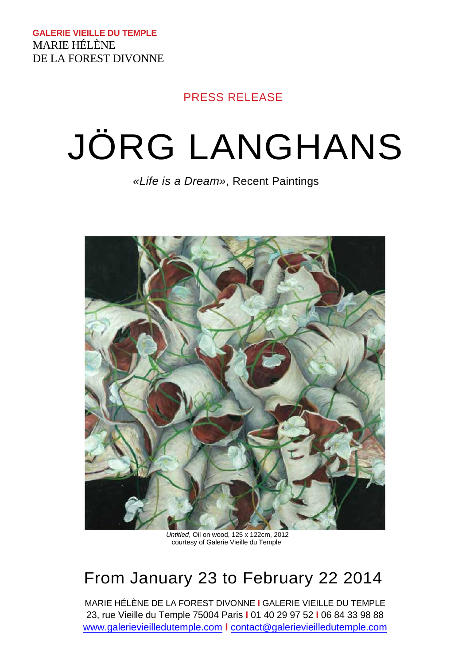**GALERIE VIEILLE DU TEMPLE** MARIE HÉLÈNE DE LA FOREST DIVONNE

### PRESS RELEASE

# JÖRG LANGHANS

*«Life is a Dream»*, Recent Paintings



*Untitled*, Oil on wood, 125 x 122cm, 2012 courtesy of Galerie Vieille du Temple

## From January 23 to February 22 2014

MARIE HÉLÈNE DE LA FOREST DIVONNE **I** GALERIE VIEILLE DU TEMPLE 23, rue Vieille du Temple 75004 Paris **I** 01 40 29 97 52 **I** 06 84 33 98 88 [www.galerievieilledutemple.com](http://www.galerievieilledutemple.com/) **I** [contact](mailto:contact@galerievieilledutemple.com)@galerievieilledutemple.com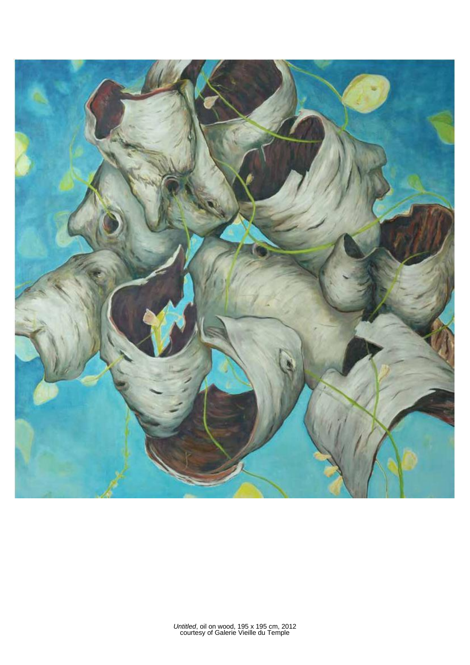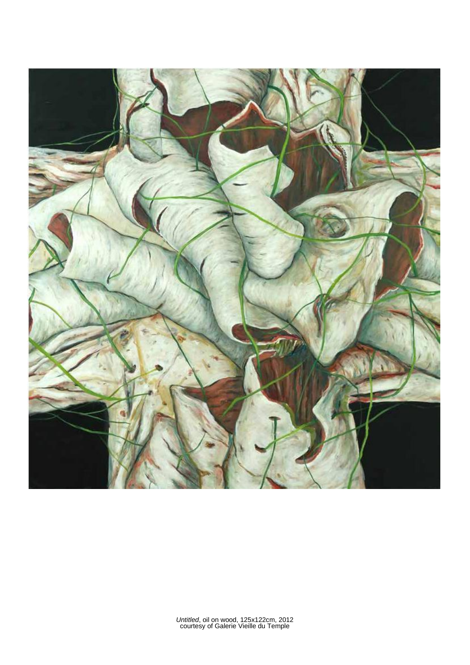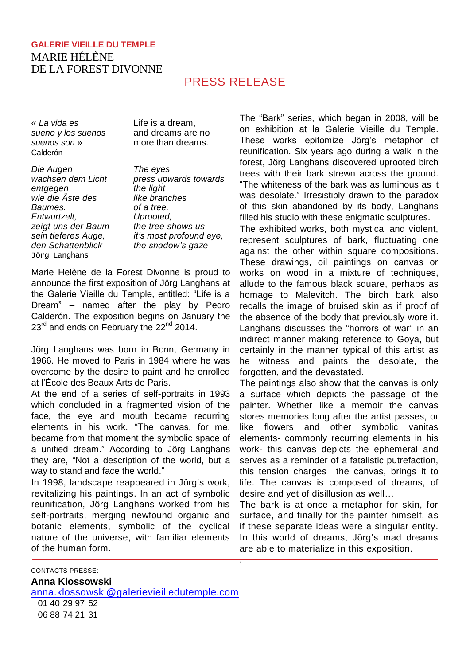#### **GALERIE VIEILLE DU TEMPLE** MARIE HÉLÈNE DE LA FOREST DIVONNE

#### PRESS RELEASE

.

« *La vida es* Life is a dream, *sueno y los suenos* and dreams are no *suenos son* » more than dreams. Calderón

*Die Augen The eyes entgegen the light wie die Äste des like branches Baumes. of a tree. Entwurtzelt, Uprooted, zeigt uns der Baum the tree shows us den Schattenblick the shadow's gaze* Jörg Langhans

*wachsen dem Licht press upwards towards sein tieferes Auge, it's most profound eye,*

Marie Helène de la Forest Divonne is proud to announce the first exposition of Jörg Langhans at the Galerie Vieille du Temple, entitled: "Life is a Dream" – named after the play by Pedro Calderón. The exposition begins on January the  $23^{\text{rd}}$  and ends on February the  $22^{\text{nd}}$  2014.

Jörg Langhans was born in Bonn, Germany in 1966. He moved to Paris in 1984 where he was overcome by the desire to paint and he enrolled at l'École des Beaux Arts de Paris.

At the end of a series of self-portraits in 1993 which concluded in a fragmented vision of the face, the eye and mouth became recurring elements in his work. "The canvas, for me, became from that moment the symbolic space of a unified dream." According to Jörg Langhans they are, "Not a description of the world, but a way to stand and face the world."

In 1998, landscape reappeared in Jörg's work, revitalizing his paintings. In an act of symbolic reunification, Jörg Langhans worked from his self-portraits, merging newfound organic and botanic elements, symbolic of the cyclical nature of the universe, with familiar elements of the human form.

The "Bark" series, which began in 2008, will be on exhibition at la Galerie Vieille du Temple. These works epitomize Jörg's metaphor of reunification. Six years ago during a walk in the forest, Jörg Langhans discovered uprooted birch trees with their bark strewn across the ground. "The whiteness of the bark was as luminous as it was desolate." Irresistibly drawn to the paradox of this skin abandoned by its body, Langhans filled his studio with these enigmatic sculptures.

The exhibited works, both mystical and violent, represent sculptures of bark, fluctuating one against the other within square compositions. These drawings, oil paintings on canvas or works on wood in a mixture of techniques, allude to the famous black square, perhaps as homage to Malevitch. The birch bark also recalls the image of bruised skin as if proof of the absence of the body that previously wore it. Langhans discusses the "horrors of war" in an indirect manner making reference to Goya, but certainly in the manner typical of this artist as he witness and paints the desolate, the forgotten, and the devastated.

The paintings also show that the canvas is only a surface which depicts the passage of the painter. Whether like a memoir the canvas stores memories long after the artist passes, or like flowers and other symbolic vanitas elements- commonly recurring elements in his work- this canvas depicts the ephemeral and serves as a reminder of a fatalistic putrefaction, this tension charges the canvas, brings it to life. The canvas is composed of dreams, of desire and yet of disillusion as well…

The bark is at once a metaphor for skin, for surface, and finally for the painter himself, as if these separate ideas were a singular entity. In this world of dreams, Jörg's mad dreams are able to materialize in this exposition.

**Anna Klossowski**

[anna.klossowski@galerievieilledutemple.com](mailto:anna.klossowski@galerievieilledutemple.com)

01 40 29 97 52

06 88 74 21 31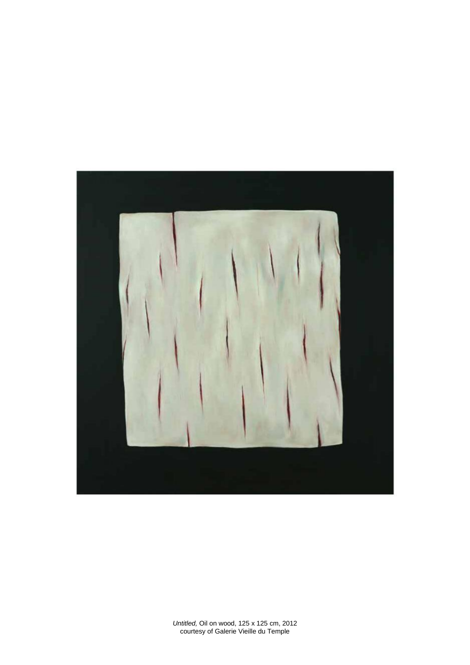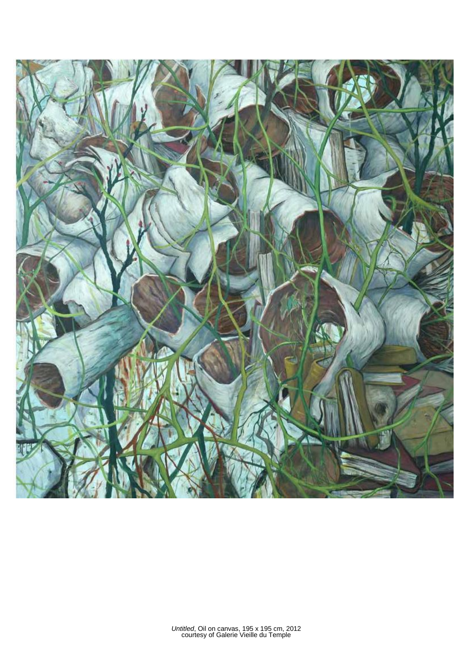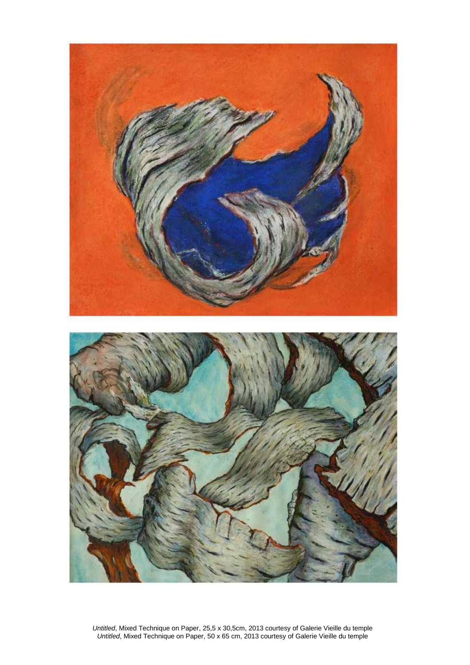

*Untitled*, Mixed Technique on Paper, 25,5 x 30,5cm, 2013 courtesy of Galerie Vieille du temple *Untitled*, Mixed Technique on Paper, 50 x 65 cm, 2013 courtesy of Galerie Vieille du temple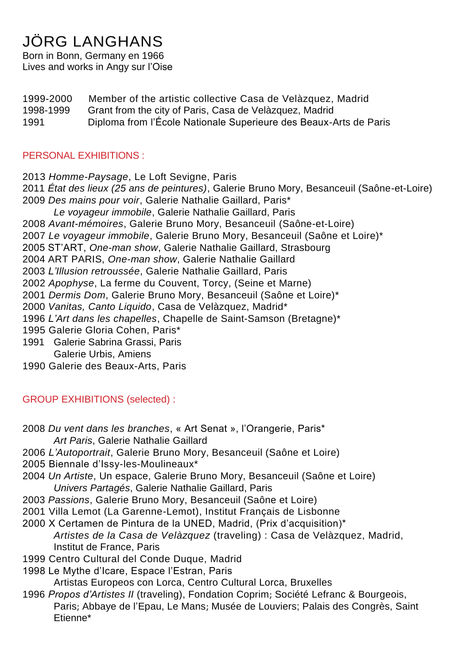## JÖRG LANGHANS

Born in Bonn, Germany en 1966 Lives and works in Angy sur l'Oise

1999-2000 Member of the artistic collective Casa de Velàzquez, Madrid 1998-1999 Grant from the city of Paris, Casa de Velàzquez, Madrid 1991 Diploma from l'École Nationale Superieure des Beaux-Arts de Paris

#### PERSONAL EXHIBITIONS :

- 2013 *Homme-Paysage*, Le Loft Sevigne, Paris
- 2011 *État des lieux (25 ans de peintures)*, Galerie Bruno Mory, Besanceuil (Saône-et-Loire) 2009 *Des mains pour voir*, Galerie Nathalie Gaillard, Paris\*
	- *Le voyageur immobile*, Galerie Nathalie Gaillard, Paris
- 2008 *Avant-mémoires*, Galerie Bruno Mory, Besanceuil (Saône-et-Loire)
- 2007 *Le voyageur immobile*, Galerie Bruno Mory, Besanceuil (Saône et Loire)\*
- 2005 ST'ART, *One-man show*, Galerie Nathalie Gaillard, Strasbourg
- 2004 ART PARIS, *One-man show*, Galerie Nathalie Gaillard
- 2003 *L'Illusion retroussée*, Galerie Nathalie Gaillard, Paris
- 2002 *Apophyse*, La ferme du Couvent, Torcy, (Seine et Marne)
- 2001 *Dermis Dom*, Galerie Bruno Mory, Besanceuil (Saône et Loire)\*
- 2000 *Vanitas, Canto Liquido*, Casa de Velàzquez, Madrid\*
- 1996 *L'Art dans les chapelles*, Chapelle de Saint-Samson (Bretagne)\*
- 1995 Galerie Gloria Cohen, Paris\*
- 1991 Galerie Sabrina Grassi, Paris Galerie Urbis, Amiens
- 1990 Galerie des Beaux-Arts, Paris
- GROUP EXHIBITIONS (selected) :
- 2008 *Du vent dans les branches*, « Art Senat », l'Orangerie, Paris\* *Art Paris*, Galerie Nathalie Gaillard
- 2006 *L'Autoportrait*, Galerie Bruno Mory, Besanceuil (Saône et Loire)
- 2005 Biennale d'Issy-les-Moulineaux\*
- 2004 *Un Artiste*, Un espace, Galerie Bruno Mory, Besanceuil (Saône et Loire) *Univers Partagés*, Galerie Nathalie Gaillard, Paris
- 2003 *Passions*, Galerie Bruno Mory, Besanceuil (Saône et Loire)
- 2001 Villa Lemot (La Garenne-Lemot), Institut Français de Lisbonne
- 2000 X Certamen de Pintura de la UNED, Madrid, (Prix d'acquisition)\* *Artistes de la Casa de Velàzquez* (traveling) : Casa de Velàzquez, Madrid,
	- Institut de France, Paris
- 1999 Centro Cultural del Conde Duque, Madrid
- 1998 Le Mythe d'Icare, Espace l'Estran, Paris
	- Artistas Europeos con Lorca, Centro Cultural Lorca, Bruxelles
- 1996 *Propos d'Artistes II* (traveling), Fondation Coprim; Société Lefranc & Bourgeois, Paris; Abbaye de l'Epau, Le Mans; Musée de Louviers; Palais des Congrès, Saint Etienne\*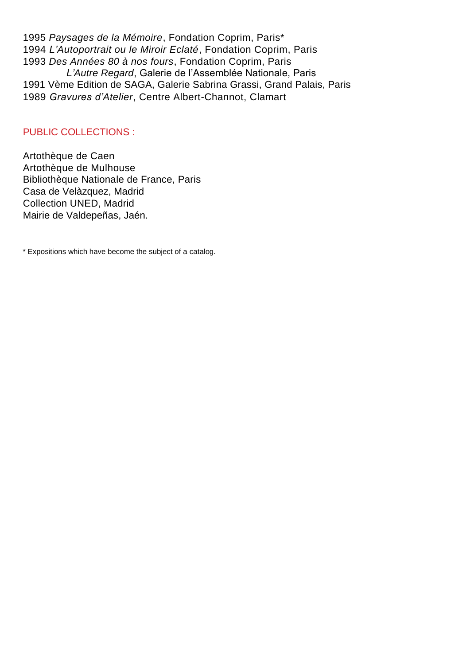*Paysages de la Mémoire*, Fondation Coprim, Paris\* *L'Autoportrait ou le Miroir Eclaté*, Fondation Coprim, Paris *Des Années 80 à nos fours*, Fondation Coprim, Paris *L'Autre Regard*, Galerie de l'Assemblée Nationale, Paris 1991 Vème Edition de SAGA, Galerie Sabrina Grassi, Grand Palais, Paris *Gravures d'Atelier*, Centre Albert-Channot, Clamart

#### PUBLIC COLLECTIONS :

Artothèque de Caen Artothèque de Mulhouse Bibliothèque Nationale de France, Paris Casa de Velàzquez, Madrid Collection UNED, Madrid Mairie de Valdepeñas, Jaén.

\* Expositions which have become the subject of a catalog.